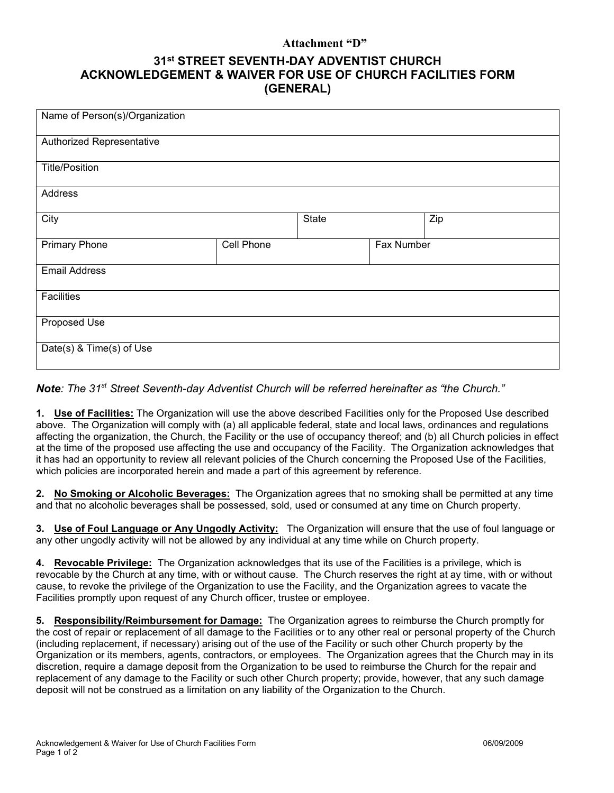### **Attachment "D"**

# **31st STREET SEVENTH-DAY ADVENTIST CHURCH ACKNOWLEDGEMENT & WAIVER FOR USE OF CHURCH FACILITIES FORM (GENERAL)**

| Name of Person(s)/Organization |            |       |            |     |  |
|--------------------------------|------------|-------|------------|-----|--|
| Authorized Representative      |            |       |            |     |  |
| <b>Title/Position</b>          |            |       |            |     |  |
| Address                        |            |       |            |     |  |
| City                           |            | State |            | Zip |  |
| <b>Primary Phone</b>           | Cell Phone |       | Fax Number |     |  |
| <b>Email Address</b>           |            |       |            |     |  |
| <b>Facilities</b>              |            |       |            |     |  |
| Proposed Use                   |            |       |            |     |  |
| Date(s) & Time(s) of Use       |            |       |            |     |  |

# *Note: The 31st Street Seventh-day Adventist Church will be referred hereinafter as "the Church."*

**1. Use of Facilities:** The Organization will use the above described Facilities only for the Proposed Use described above. The Organization will comply with (a) all applicable federal, state and local laws, ordinances and regulations affecting the organization, the Church, the Facility or the use of occupancy thereof; and (b) all Church policies in effect at the time of the proposed use affecting the use and occupancy of the Facility. The Organization acknowledges that it has had an opportunity to review all relevant policies of the Church concerning the Proposed Use of the Facilities, which policies are incorporated herein and made a part of this agreement by reference.

**2. No Smoking or Alcoholic Beverages:** The Organization agrees that no smoking shall be permitted at any time and that no alcoholic beverages shall be possessed, sold, used or consumed at any time on Church property.

**3. Use of Foul Language or Any Ungodly Activity:** The Organization will ensure that the use of foul language or any other ungodly activity will not be allowed by any individual at any time while on Church property.

**4. Revocable Privilege:** The Organization acknowledges that its use of the Facilities is a privilege, which is revocable by the Church at any time, with or without cause. The Church reserves the right at ay time, with or without cause, to revoke the privilege of the Organization to use the Facility, and the Organization agrees to vacate the Facilities promptly upon request of any Church officer, trustee or employee.

**5. Responsibility/Reimbursement for Damage:** The Organization agrees to reimburse the Church promptly for the cost of repair or replacement of all damage to the Facilities or to any other real or personal property of the Church (including replacement, if necessary) arising out of the use of the Facility or such other Church property by the Organization or its members, agents, contractors, or employees. The Organization agrees that the Church may in its discretion, require a damage deposit from the Organization to be used to reimburse the Church for the repair and replacement of any damage to the Facility or such other Church property; provide, however, that any such damage deposit will not be construed as a limitation on any liability of the Organization to the Church.